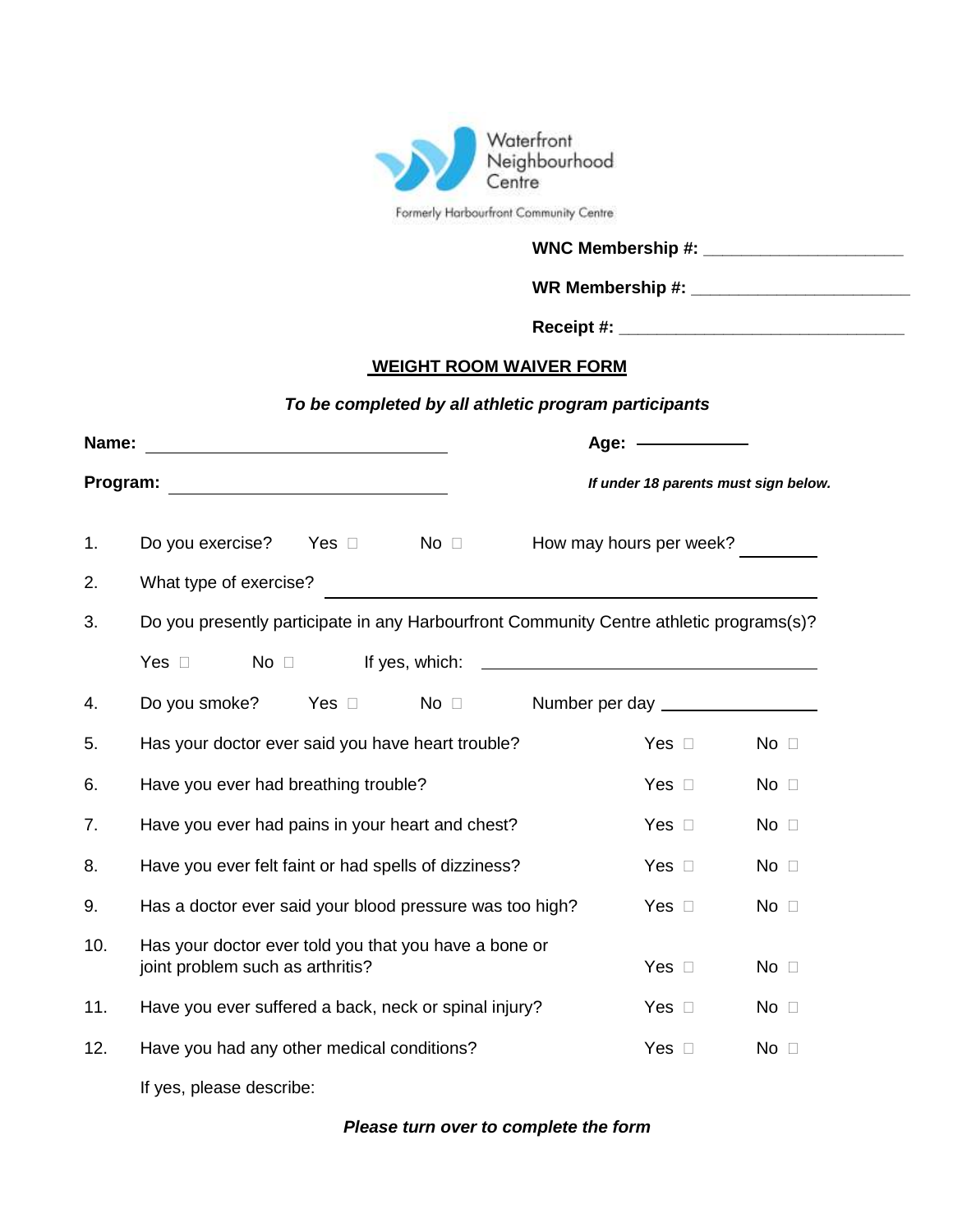

|  |  | Formerly Harbourfront Community Centre |  |
|--|--|----------------------------------------|--|
|--|--|----------------------------------------|--|

| <b>WNC Membership #:</b> |  |
|--------------------------|--|
| WR Membership #:         |  |

**Receipt #: \_\_\_\_\_\_\_\_\_\_\_\_\_\_\_\_\_\_\_\_\_\_\_\_\_\_\_\_\_\_**

#### **WEIGHT ROOM WAIVER FORM**

# *To be completed by all athletic program participants*

|          |                                                                                           | Age: $-$<br>If under 18 parents must sign below. |             |  |  |
|----------|-------------------------------------------------------------------------------------------|--------------------------------------------------|-------------|--|--|
| Program: | <u> 1989 - Johann Barbara, martxa alemaniar a</u>                                         |                                                  |             |  |  |
| 1.       | Do you exercise? Yes □ No □                                                               | How may hours per week?                          |             |  |  |
| 2.       | What type of exercise?                                                                    |                                                  |             |  |  |
| 3.       | Do you presently participate in any Harbourfront Community Centre athletic programs(s)?   |                                                  |             |  |  |
|          |                                                                                           |                                                  |             |  |  |
| 4.       | Do you smoke? Yes $\Box$ No $\Box$                                                        | Number per day _________________                 |             |  |  |
| 5.       | Has your doctor ever said you have heart trouble?                                         | Yes $\square$                                    | $No$ $\Box$ |  |  |
| 6.       | Have you ever had breathing trouble?                                                      | Yes $\square$                                    | $No$ $\Box$ |  |  |
| 7.       | Have you ever had pains in your heart and chest?                                          | Yes $\square$                                    | $No$ $\Box$ |  |  |
| 8.       | Have you ever felt faint or had spells of dizziness?                                      | Yes $\square$                                    | $No$ $\Box$ |  |  |
| 9.       | Has a doctor ever said your blood pressure was too high?                                  | Yes $\square$                                    | $No$ $\Box$ |  |  |
| 10.      | Has your doctor ever told you that you have a bone or<br>joint problem such as arthritis? | Yes $\square$                                    | $No$ $\Box$ |  |  |
| 11.      | Have you ever suffered a back, neck or spinal injury?                                     | Yes $\square$                                    | $No$ $\Box$ |  |  |
| 12.      | Have you had any other medical conditions?                                                | Yes $\square$                                    | $No$ $\Box$ |  |  |
|          |                                                                                           |                                                  |             |  |  |

If yes, please describe:

## *Please turn over to complete the form*